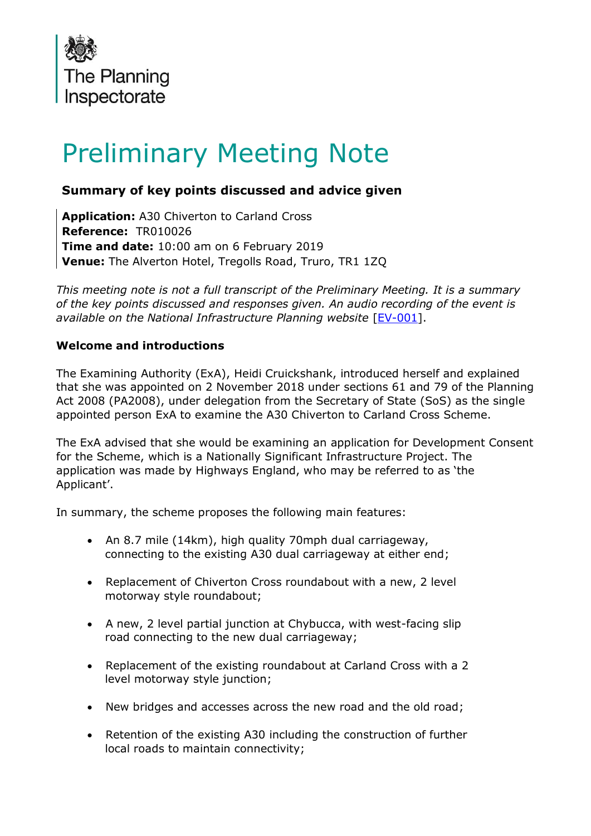

# Preliminary Meeting Note

## **Summary of key points discussed and advice given**

**Application:** A30 Chiverton to Carland Cross **Reference:** TR010026 **Time and date:** 10:00 am on 6 February 2019 **Venue:** The Alverton Hotel, Tregolls Road, Truro, TR1 1ZQ

*This meeting note is not a full transcript of the Preliminary Meeting. It is a summary of the key points discussed and responses given. An audio recording of the event is available on the National Infrastructure Planning website* [\[EV-001\]](https://infrastructure.planninginspectorate.gov.uk/wp-content/ipc/uploads/projects/TR010026/TR010026-000642-A30%20Highways%20England%20Prelim%20-%202019%2002%2006%20-%20Session%201_mixdown.mp2).

## **Welcome and introductions**

The Examining Authority (ExA), Heidi Cruickshank, introduced herself and explained that she was appointed on 2 November 2018 under sections 61 and 79 of the Planning Act 2008 (PA2008), under delegation from the Secretary of State (SoS) as the single appointed person ExA to examine the A30 Chiverton to Carland Cross Scheme.

The ExA advised that she would be examining an application for Development Consent for the Scheme, which is a Nationally Significant Infrastructure Project. The application was made by Highways England, who may be referred to as 'the Applicant'.

In summary, the scheme proposes the following main features:

- An 8.7 mile (14km), high quality 70mph dual carriageway, connecting to the existing A30 dual carriageway at either end;
- Replacement of Chiverton Cross roundabout with a new, 2 level motorway style roundabout;
- A new, 2 level partial junction at Chybucca, with west-facing slip road connecting to the new dual carriageway;
- Replacement of the existing roundabout at Carland Cross with a 2 level motorway style junction;
- New bridges and accesses across the new road and the old road;
- Retention of the existing A30 including the construction of further local roads to maintain connectivity;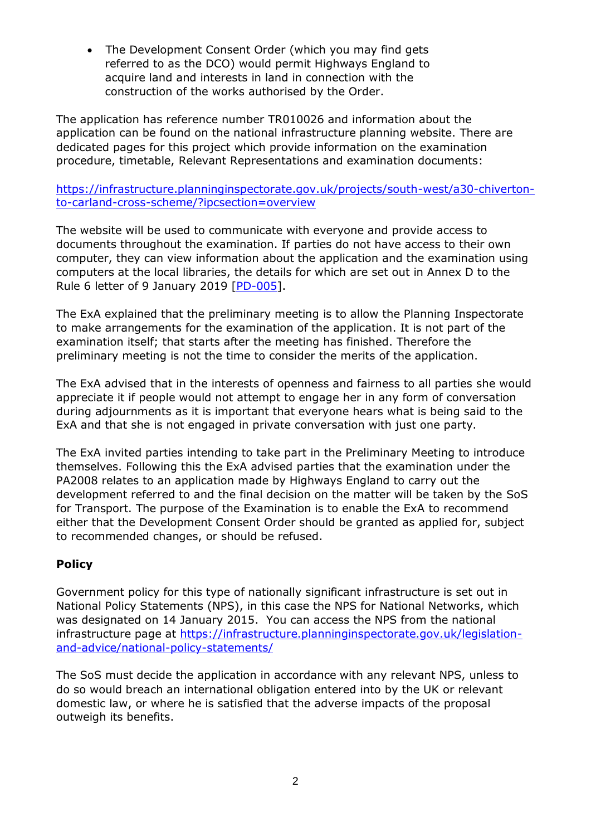• The Development Consent Order (which you may find gets referred to as the DCO) would permit Highways England to acquire land and interests in land in connection with the construction of the works authorised by the Order.

The application has reference number TR010026 and information about the application can be found on the national infrastructure planning website. There are dedicated pages for this project which provide information on the examination procedure, timetable, Relevant Representations and examination documents:

[https://infrastructure.planninginspectorate.gov.uk/projects/south-west/a30-chiverton](https://infrastructure.planninginspectorate.gov.uk/projects/south-west/a30-chiverton-to-carland-cross-scheme/?ipcsection=overview)[to-carland-cross-scheme/?ipcsection=overview](https://infrastructure.planninginspectorate.gov.uk/projects/south-west/a30-chiverton-to-carland-cross-scheme/?ipcsection=overview)

The website will be used to communicate with everyone and provide access to documents throughout the examination. If parties do not have access to their own computer, they can view information about the application and the examination using computers at the local libraries, the details for which are set out in Annex D to the Rule 6 letter of 9 January 2019 [\[PD-005\]](https://infrastructure.planninginspectorate.gov.uk/wp-content/ipc/uploads/projects/TR010026/TR010026-000628-30CC_Rule_6_letter_-_Notification_of_the_preliminary_meeting_and_matters_to_be_discussed.pdf).

The ExA explained that the preliminary meeting is to allow the Planning Inspectorate to make arrangements for the examination of the application. It is not part of the examination itself; that starts after the meeting has finished. Therefore the preliminary meeting is not the time to consider the merits of the application.

The ExA advised that in the interests of openness and fairness to all parties she would appreciate it if people would not attempt to engage her in any form of conversation during adjournments as it is important that everyone hears what is being said to the ExA and that she is not engaged in private conversation with just one party.

The ExA invited parties intending to take part in the Preliminary Meeting to introduce themselves. Following this the ExA advised parties that the examination under the PA2008 relates to an application made by Highways England to carry out the development referred to and the final decision on the matter will be taken by the SoS for Transport. The purpose of the Examination is to enable the ExA to recommend either that the Development Consent Order should be granted as applied for, subject to recommended changes, or should be refused.

## **Policy**

Government policy for this type of nationally significant infrastructure is set out in National Policy Statements (NPS), in this case the NPS for National Networks, which was designated on 14 January 2015. You can access the NPS from the national infrastructure page at [https://infrastructure.planninginspectorate.gov.uk/legislation](https://infrastructure.planninginspectorate.gov.uk/legislation-and-advice/national-policy-statements/)[and-advice/national-policy-statements/](https://infrastructure.planninginspectorate.gov.uk/legislation-and-advice/national-policy-statements/)

The SoS must decide the application in accordance with any relevant NPS, unless to do so would breach an international obligation entered into by the UK or relevant domestic law, or where he is satisfied that the adverse impacts of the proposal outweigh its benefits.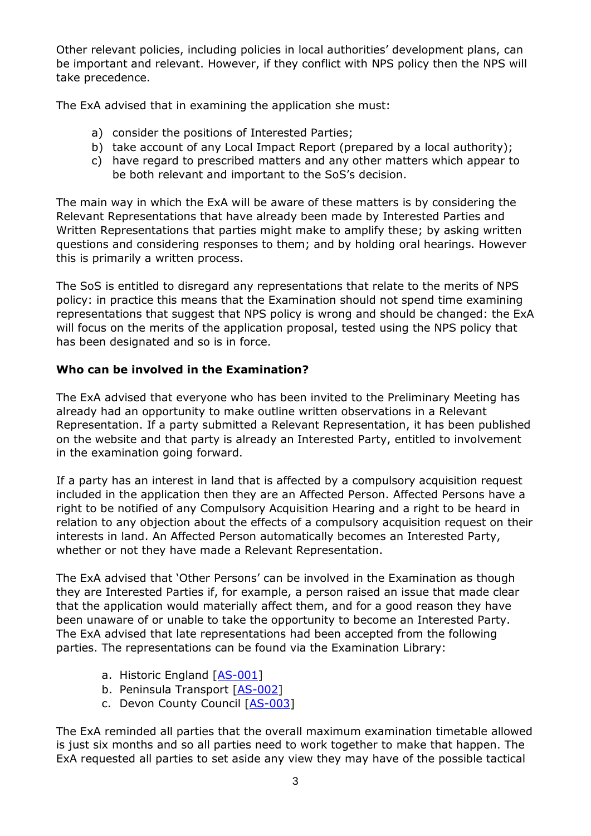Other relevant policies, including policies in local authorities' development plans, can be important and relevant. However, if they conflict with NPS policy then the NPS will take precedence.

The ExA advised that in examining the application she must:

- a) consider the positions of Interested Parties;
- b) take account of any Local Impact Report (prepared by a local authority);
- c) have regard to prescribed matters and any other matters which appear to be both relevant and important to the SoS's decision.

The main way in which the ExA will be aware of these matters is by considering the Relevant Representations that have already been made by Interested Parties and Written Representations that parties might make to amplify these; by asking written questions and considering responses to them; and by holding oral hearings. However this is primarily a written process.

The SoS is entitled to disregard any representations that relate to the merits of NPS policy: in practice this means that the Examination should not spend time examining representations that suggest that NPS policy is wrong and should be changed: the ExA will focus on the merits of the application proposal, tested using the NPS policy that has been designated and so is in force.

## **Who can be involved in the Examination?**

The ExA advised that everyone who has been invited to the Preliminary Meeting has already had an opportunity to make outline written observations in a Relevant Representation. If a party submitted a Relevant Representation, it has been published on the website and that party is already an Interested Party, entitled to involvement in the examination going forward.

If a party has an interest in land that is affected by a compulsory acquisition request included in the application then they are an Affected Person. Affected Persons have a right to be notified of any Compulsory Acquisition Hearing and a right to be heard in relation to any objection about the effects of a compulsory acquisition request on their interests in land. An Affected Person automatically becomes an Interested Party, whether or not they have made a Relevant Representation.

The ExA advised that 'Other Persons' can be involved in the Examination as though they are Interested Parties if, for example, a person raised an issue that made clear that the application would materially affect them, and for a good reason they have been unaware of or unable to take the opportunity to become an Interested Party. The ExA advised that late representations had been accepted from the following parties. The representations can be found via the Examination Library:

- a. Historic England [\[AS-001\]](https://infrastructure.planninginspectorate.gov.uk/wp-content/ipc/uploads/projects/TR010026/TR010026-000570-AS_Historic%20England.pdf)
- b. Peninsula Transport [\[AS-002\]](https://infrastructure.planninginspectorate.gov.uk/wp-content/ipc/uploads/projects/TR010026/TR010026-000573-AS_Peninsula%20Transport%20Shadow%20Sub-National%20Transport%20Body.pdf)
- c. Devon County Council [\[AS-003\]](https://infrastructure.planninginspectorate.gov.uk/wp-content/ipc/uploads/projects/TR010026/TR010026-000574-AS_Devon%20County%20Council.pdf)

The ExA reminded all parties that the overall maximum examination timetable allowed is just six months and so all parties need to work together to make that happen. The ExA requested all parties to set aside any view they may have of the possible tactical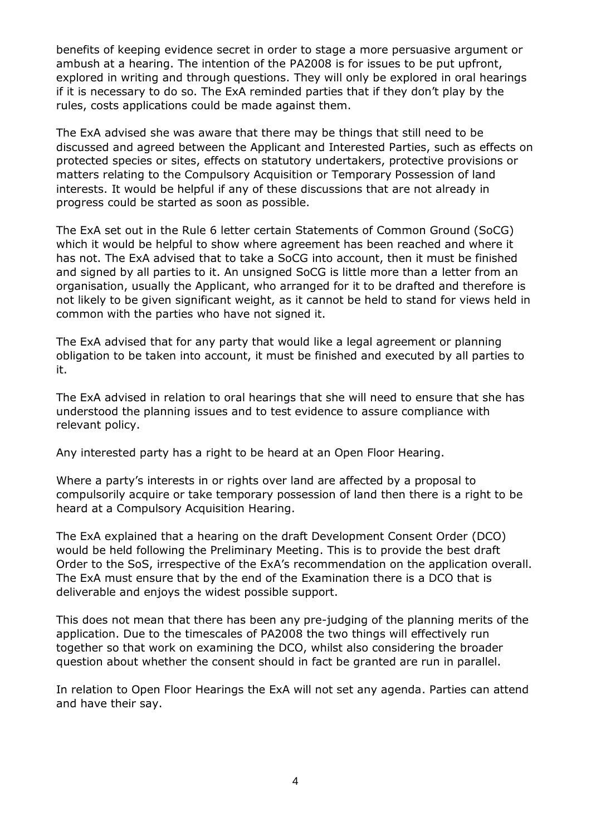benefits of keeping evidence secret in order to stage a more persuasive argument or ambush at a hearing. The intention of the PA2008 is for issues to be put upfront, explored in writing and through questions. They will only be explored in oral hearings if it is necessary to do so. The ExA reminded parties that if they don't play by the rules, costs applications could be made against them.

The ExA advised she was aware that there may be things that still need to be discussed and agreed between the Applicant and Interested Parties, such as effects on protected species or sites, effects on statutory undertakers, protective provisions or matters relating to the Compulsory Acquisition or Temporary Possession of land interests. It would be helpful if any of these discussions that are not already in progress could be started as soon as possible.

The ExA set out in the Rule 6 letter certain Statements of Common Ground (SoCG) which it would be helpful to show where agreement has been reached and where it has not. The ExA advised that to take a SoCG into account, then it must be finished and signed by all parties to it. An unsigned SoCG is little more than a letter from an organisation, usually the Applicant, who arranged for it to be drafted and therefore is not likely to be given significant weight, as it cannot be held to stand for views held in common with the parties who have not signed it.

The ExA advised that for any party that would like a legal agreement or planning obligation to be taken into account, it must be finished and executed by all parties to it.

The ExA advised in relation to oral hearings that she will need to ensure that she has understood the planning issues and to test evidence to assure compliance with relevant policy.

Any interested party has a right to be heard at an Open Floor Hearing.

Where a party's interests in or rights over land are affected by a proposal to compulsorily acquire or take temporary possession of land then there is a right to be heard at a Compulsory Acquisition Hearing.

The ExA explained that a hearing on the draft Development Consent Order (DCO) would be held following the Preliminary Meeting. This is to provide the best draft Order to the SoS, irrespective of the ExA's recommendation on the application overall. The ExA must ensure that by the end of the Examination there is a DCO that is deliverable and enjoys the widest possible support.

This does not mean that there has been any pre-judging of the planning merits of the application. Due to the timescales of PA2008 the two things will effectively run together so that work on examining the DCO, whilst also considering the broader question about whether the consent should in fact be granted are run in parallel.

In relation to Open Floor Hearings the ExA will not set any agenda. Parties can attend and have their say.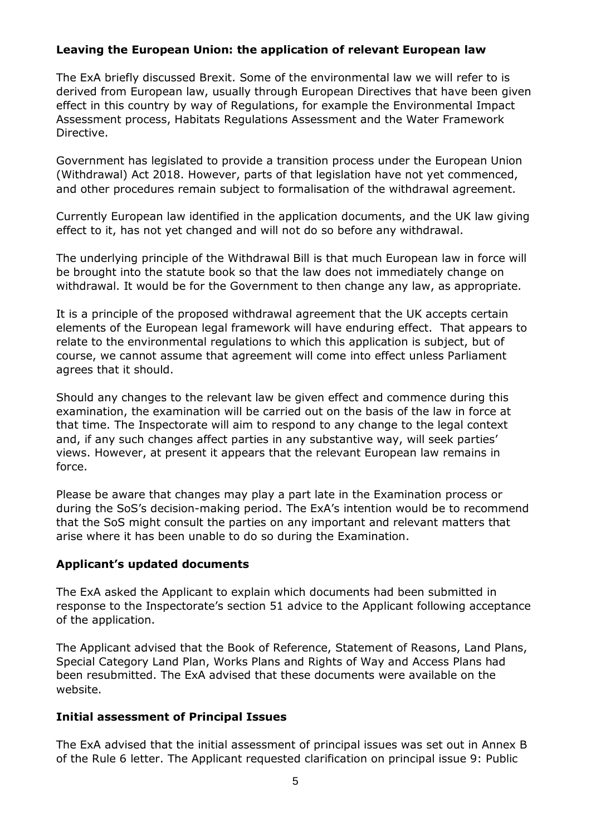## **Leaving the European Union: the application of relevant European law**

The ExA briefly discussed Brexit. Some of the environmental law we will refer to is derived from European law, usually through European Directives that have been given effect in this country by way of Regulations, for example the Environmental Impact Assessment process, Habitats Regulations Assessment and the Water Framework Directive.

Government has legislated to provide a transition process under the European Union (Withdrawal) Act 2018. However, parts of that legislation have not yet commenced, and other procedures remain subject to formalisation of the withdrawal agreement.

Currently European law identified in the application documents, and the UK law giving effect to it, has not yet changed and will not do so before any withdrawal.

The underlying principle of the Withdrawal Bill is that much European law in force will be brought into the statute book so that the law does not immediately change on withdrawal. It would be for the Government to then change any law, as appropriate.

It is a principle of the proposed withdrawal agreement that the UK accepts certain elements of the European legal framework will have enduring effect. That appears to relate to the environmental regulations to which this application is subject, but of course, we cannot assume that agreement will come into effect unless Parliament agrees that it should.

Should any changes to the relevant law be given effect and commence during this examination, the examination will be carried out on the basis of the law in force at that time. The Inspectorate will aim to respond to any change to the legal context and, if any such changes affect parties in any substantive way, will seek parties' views. However, at present it appears that the relevant European law remains in force.

Please be aware that changes may play a part late in the Examination process or during the SoS's decision-making period. The ExA's intention would be to recommend that the SoS might consult the parties on any important and relevant matters that arise where it has been unable to do so during the Examination.

#### **Applicant's updated documents**

The ExA asked the Applicant to explain which documents had been submitted in response to the Inspectorate's section 51 advice to the Applicant following acceptance of the application.

The Applicant advised that the Book of Reference, Statement of Reasons, Land Plans, Special Category Land Plan, Works Plans and Rights of Way and Access Plans had been resubmitted. The ExA advised that these documents were available on the website.

#### **Initial assessment of Principal Issues**

The ExA advised that the initial assessment of principal issues was set out in Annex B of the Rule 6 letter. The Applicant requested clarification on principal issue 9: Public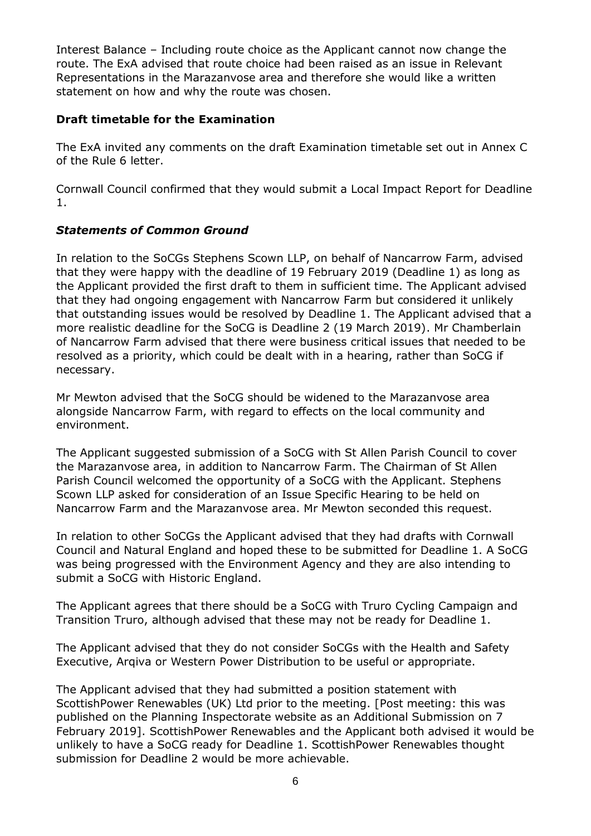Interest Balance – Including route choice as the Applicant cannot now change the route. The ExA advised that route choice had been raised as an issue in Relevant Representations in the Marazanvose area and therefore she would like a written statement on how and why the route was chosen.

## **Draft timetable for the Examination**

The ExA invited any comments on the draft Examination timetable set out in Annex C of the Rule 6 letter.

Cornwall Council confirmed that they would submit a Local Impact Report for Deadline 1.

## *Statements of Common Ground*

In relation to the SoCGs Stephens Scown LLP, on behalf of Nancarrow Farm, advised that they were happy with the deadline of 19 February 2019 (Deadline 1) as long as the Applicant provided the first draft to them in sufficient time. The Applicant advised that they had ongoing engagement with Nancarrow Farm but considered it unlikely that outstanding issues would be resolved by Deadline 1. The Applicant advised that a more realistic deadline for the SoCG is Deadline 2 (19 March 2019). Mr Chamberlain of Nancarrow Farm advised that there were business critical issues that needed to be resolved as a priority, which could be dealt with in a hearing, rather than SoCG if necessary.

Mr Mewton advised that the SoCG should be widened to the Marazanvose area alongside Nancarrow Farm, with regard to effects on the local community and environment.

The Applicant suggested submission of a SoCG with St Allen Parish Council to cover the Marazanvose area, in addition to Nancarrow Farm. The Chairman of St Allen Parish Council welcomed the opportunity of a SoCG with the Applicant. Stephens Scown LLP asked for consideration of an Issue Specific Hearing to be held on Nancarrow Farm and the Marazanvose area. Mr Mewton seconded this request.

In relation to other SoCGs the Applicant advised that they had drafts with Cornwall Council and Natural England and hoped these to be submitted for Deadline 1. A SoCG was being progressed with the Environment Agency and they are also intending to submit a SoCG with Historic England.

The Applicant agrees that there should be a SoCG with Truro Cycling Campaign and Transition Truro, although advised that these may not be ready for Deadline 1.

The Applicant advised that they do not consider SoCGs with the Health and Safety Executive, Arqiva or Western Power Distribution to be useful or appropriate.

The Applicant advised that they had submitted a position statement with ScottishPower Renewables (UK) Ltd prior to the meeting. [Post meeting: this was published on the Planning Inspectorate website as an Additional Submission on 7 February 2019]. ScottishPower Renewables and the Applicant both advised it would be unlikely to have a SoCG ready for Deadline 1. ScottishPower Renewables thought submission for Deadline 2 would be more achievable.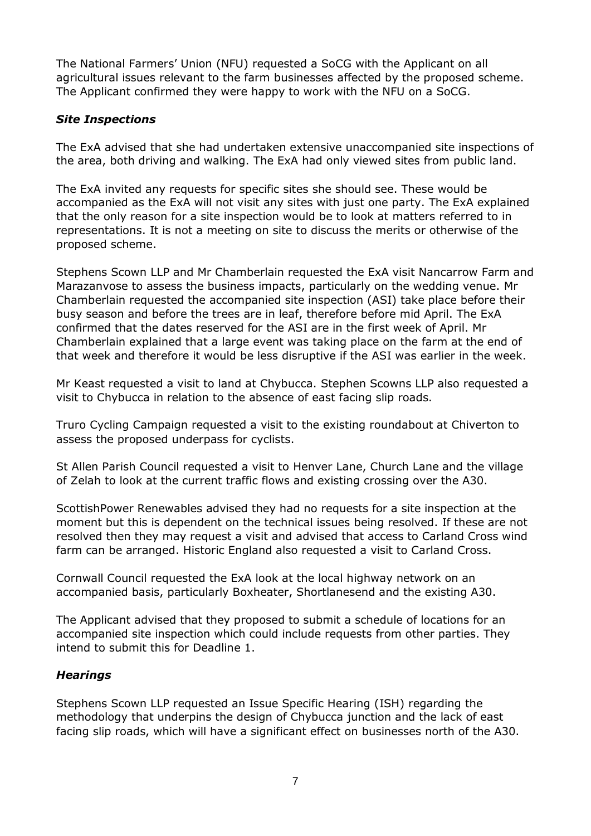The National Farmers' Union (NFU) requested a SoCG with the Applicant on all agricultural issues relevant to the farm businesses affected by the proposed scheme. The Applicant confirmed they were happy to work with the NFU on a SoCG.

## *Site Inspections*

The ExA advised that she had undertaken extensive unaccompanied site inspections of the area, both driving and walking. The ExA had only viewed sites from public land.

The ExA invited any requests for specific sites she should see. These would be accompanied as the ExA will not visit any sites with just one party. The ExA explained that the only reason for a site inspection would be to look at matters referred to in representations. It is not a meeting on site to discuss the merits or otherwise of the proposed scheme.

Stephens Scown LLP and Mr Chamberlain requested the ExA visit Nancarrow Farm and Marazanvose to assess the business impacts, particularly on the wedding venue. Mr Chamberlain requested the accompanied site inspection (ASI) take place before their busy season and before the trees are in leaf, therefore before mid April. The ExA confirmed that the dates reserved for the ASI are in the first week of April. Mr Chamberlain explained that a large event was taking place on the farm at the end of that week and therefore it would be less disruptive if the ASI was earlier in the week.

Mr Keast requested a visit to land at Chybucca. Stephen Scowns LLP also requested a visit to Chybucca in relation to the absence of east facing slip roads.

Truro Cycling Campaign requested a visit to the existing roundabout at Chiverton to assess the proposed underpass for cyclists.

St Allen Parish Council requested a visit to Henver Lane, Church Lane and the village of Zelah to look at the current traffic flows and existing crossing over the A30.

ScottishPower Renewables advised they had no requests for a site inspection at the moment but this is dependent on the technical issues being resolved. If these are not resolved then they may request a visit and advised that access to Carland Cross wind farm can be arranged. Historic England also requested a visit to Carland Cross.

Cornwall Council requested the ExA look at the local highway network on an accompanied basis, particularly Boxheater, Shortlanesend and the existing A30.

The Applicant advised that they proposed to submit a schedule of locations for an accompanied site inspection which could include requests from other parties. They intend to submit this for Deadline 1.

## *Hearings*

Stephens Scown LLP requested an Issue Specific Hearing (ISH) regarding the methodology that underpins the design of Chybucca junction and the lack of east facing slip roads, which will have a significant effect on businesses north of the A30.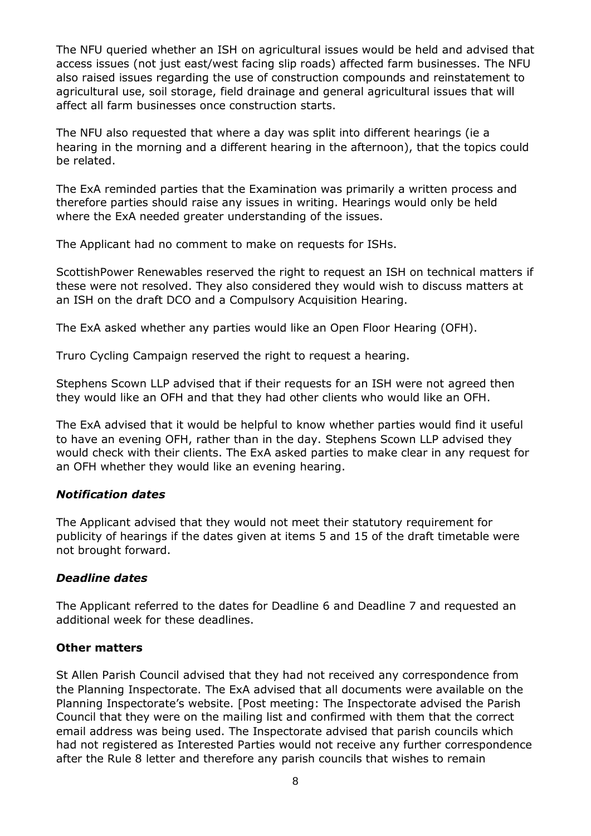The NFU queried whether an ISH on agricultural issues would be held and advised that access issues (not just east/west facing slip roads) affected farm businesses. The NFU also raised issues regarding the use of construction compounds and reinstatement to agricultural use, soil storage, field drainage and general agricultural issues that will affect all farm businesses once construction starts.

The NFU also requested that where a day was split into different hearings (ie a hearing in the morning and a different hearing in the afternoon), that the topics could be related.

The ExA reminded parties that the Examination was primarily a written process and therefore parties should raise any issues in writing. Hearings would only be held where the ExA needed greater understanding of the issues.

The Applicant had no comment to make on requests for ISHs.

ScottishPower Renewables reserved the right to request an ISH on technical matters if these were not resolved. They also considered they would wish to discuss matters at an ISH on the draft DCO and a Compulsory Acquisition Hearing.

The ExA asked whether any parties would like an Open Floor Hearing (OFH).

Truro Cycling Campaign reserved the right to request a hearing.

Stephens Scown LLP advised that if their requests for an ISH were not agreed then they would like an OFH and that they had other clients who would like an OFH.

The ExA advised that it would be helpful to know whether parties would find it useful to have an evening OFH, rather than in the day. Stephens Scown LLP advised they would check with their clients. The ExA asked parties to make clear in any request for an OFH whether they would like an evening hearing.

#### *Notification dates*

The Applicant advised that they would not meet their statutory requirement for publicity of hearings if the dates given at items 5 and 15 of the draft timetable were not brought forward.

#### *Deadline dates*

The Applicant referred to the dates for Deadline 6 and Deadline 7 and requested an additional week for these deadlines.

#### **Other matters**

St Allen Parish Council advised that they had not received any correspondence from the Planning Inspectorate. The ExA advised that all documents were available on the Planning Inspectorate's website. [Post meeting: The Inspectorate advised the Parish Council that they were on the mailing list and confirmed with them that the correct email address was being used. The Inspectorate advised that parish councils which had not registered as Interested Parties would not receive any further correspondence after the Rule 8 letter and therefore any parish councils that wishes to remain